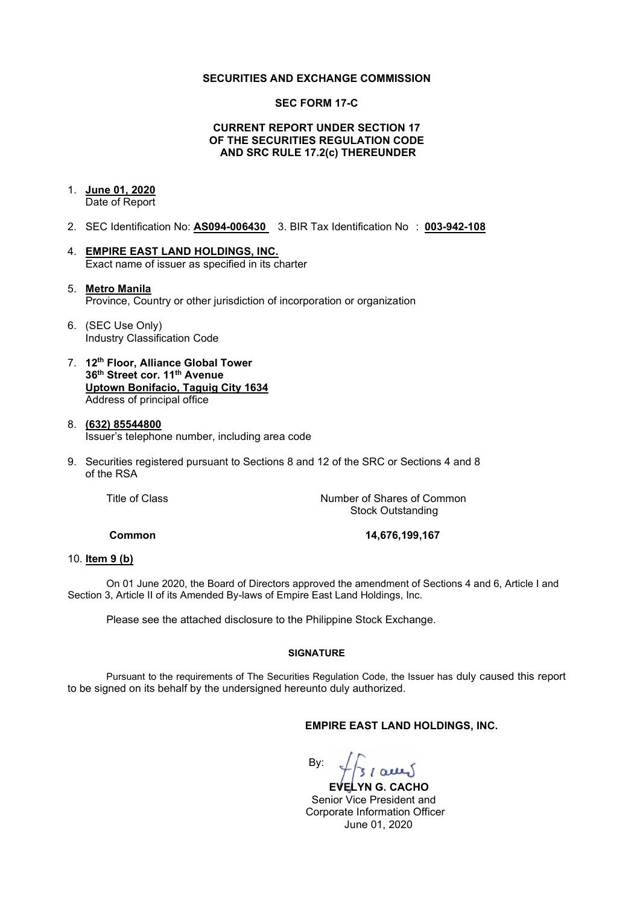### **SECURITIES AND EXCHANGE COMMISSION**

### **SEC FORM 17-C**

## **CURRENT REPORT UNDER SECTION 17 OF THE SECURITIES REGULATION CODE AND SRC RULE 17.2(c) THEREUNDER**

## 1. **June 01, 2020**

Date of Report

- 2. SEC Identification No: **AS094-006430** 3. BIR Tax Identification No : **003-942-108**
- 4. **EMPIRE EAST LAND HOLDINGS, INC.** Exact name of issuer as specified in its charter
- 5. **Metro Manila** Province, Country or other jurisdiction of incorporation or organization
- 6. (SEC Use Only) Industry Classification Code
- 7. **12th Floor, Alliance Global Tower 36th Street cor. 11th Avenue Uptown Bonifacio, Taguig City 1634** Address of principal office
- 8. **(632) 85544800** Issuer's telephone number, including area code
- 9. Securities registered pursuant to Sections 8 and 12 of the SRC or Sections 4 and 8 of the RSA

Title of Class *Number of Shares of Common* Stock Outstanding

**Common 14,676,199,167**

#### 10. **Item 9 (b)**

On 01 June 2020, the Board of Directors approved the amendment of Sections 4 and 6, Article I and Section 3, Article II of its Amended By-laws of Empire East Land Holdings, Inc.

Please see the attached disclosure to the Philippine Stock Exchange.

#### **SIGNATURE**

Pursuant to the requirements of The Securities Regulation Code, the Issuer has duly caused this report to be signed on its behalf by the undersigned hereunto duly authorized.

## **EMPIRE EAST LAND HOLDINGS, INC.**

By:

 **EVELYN G. CACHO** Senior Vice President and Corporate Information Officer June 01, 2020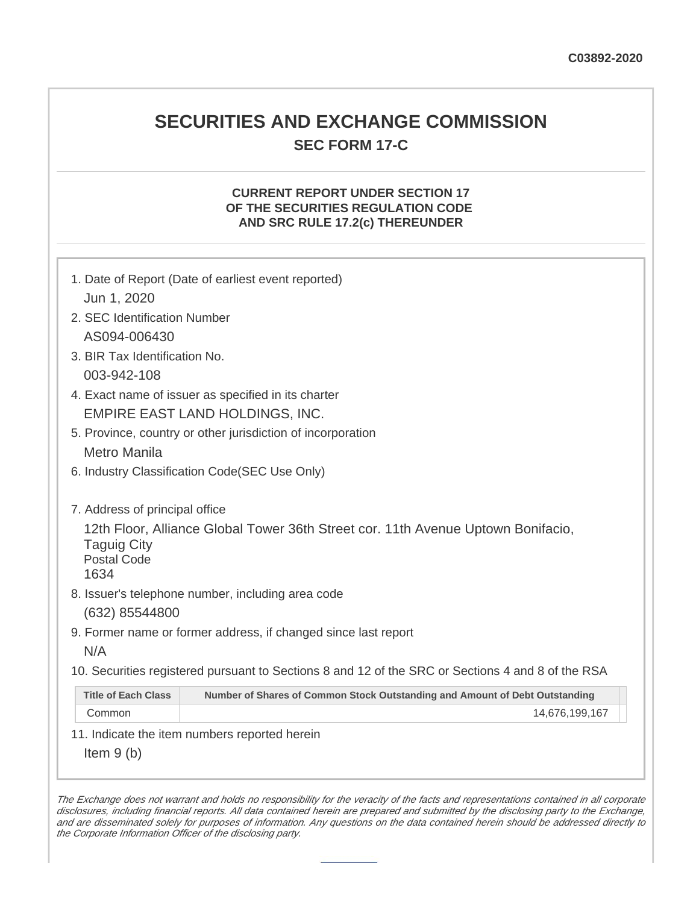# **SECURITIES AND EXCHANGE COMMISSION SEC FORM 17-C**

## **CURRENT REPORT UNDER SECTION 17 OF THE SECURITIES REGULATION CODE AND SRC RULE 17.2(c) THEREUNDER**

| 1. Date of Report (Date of earliest event reported)<br>Jun 1, 2020                                                                                             |                                                                             |  |  |  |
|----------------------------------------------------------------------------------------------------------------------------------------------------------------|-----------------------------------------------------------------------------|--|--|--|
| 2. SEC Identification Number                                                                                                                                   |                                                                             |  |  |  |
| AS094-006430                                                                                                                                                   |                                                                             |  |  |  |
| 3. BIR Tax Identification No.                                                                                                                                  |                                                                             |  |  |  |
| 003-942-108                                                                                                                                                    |                                                                             |  |  |  |
| 4. Exact name of issuer as specified in its charter                                                                                                            |                                                                             |  |  |  |
| EMPIRE EAST LAND HOLDINGS, INC.                                                                                                                                |                                                                             |  |  |  |
| 5. Province, country or other jurisdiction of incorporation                                                                                                    |                                                                             |  |  |  |
| <b>Metro Manila</b>                                                                                                                                            |                                                                             |  |  |  |
| 6. Industry Classification Code(SEC Use Only)                                                                                                                  |                                                                             |  |  |  |
| 7. Address of principal office<br>12th Floor, Alliance Global Tower 36th Street cor. 11th Avenue Uptown Bonifacio,<br><b>Taguig City</b><br><b>Postal Code</b> |                                                                             |  |  |  |
| 1634                                                                                                                                                           |                                                                             |  |  |  |
| 8. Issuer's telephone number, including area code                                                                                                              |                                                                             |  |  |  |
| (632) 85544800                                                                                                                                                 |                                                                             |  |  |  |
| 9. Former name or former address, if changed since last report                                                                                                 |                                                                             |  |  |  |
| N/A                                                                                                                                                            |                                                                             |  |  |  |
| 10. Securities registered pursuant to Sections 8 and 12 of the SRC or Sections 4 and 8 of the RSA                                                              |                                                                             |  |  |  |
| <b>Title of Each Class</b>                                                                                                                                     | Number of Shares of Common Stock Outstanding and Amount of Debt Outstanding |  |  |  |
| Common                                                                                                                                                         | 14,676,199,167                                                              |  |  |  |
| 11. Indicate the item numbers reported herein                                                                                                                  |                                                                             |  |  |  |
| Item $9(b)$                                                                                                                                                    |                                                                             |  |  |  |

The Exchange does not warrant and holds no responsibility for the veracity of the facts and representations contained in all corporate disclosures, including financial reports. All data contained herein are prepared and submitted by the disclosing party to the Exchange, and are disseminated solely for purposes of information. Any questions on the data contained herein should be addressed directly to the Corporate Information Officer of the disclosing party.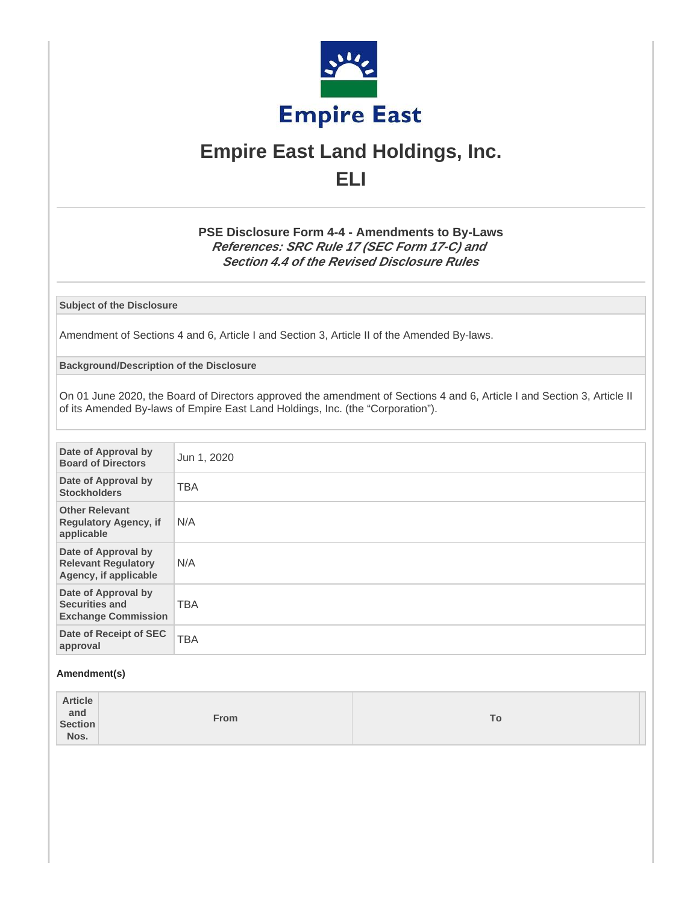

# **Empire East Land Holdings, Inc. ELI**

## **PSE Disclosure Form 4-4 - Amendments to By-Laws References: SRC Rule 17 (SEC Form 17-C) and Section 4.4 of the Revised Disclosure Rules**

**Subject of the Disclosure**

Amendment of Sections 4 and 6, Article I and Section 3, Article II of the Amended By-laws.

**Background/Description of the Disclosure**

On 01 June 2020, the Board of Directors approved the amendment of Sections 4 and 6, Article I and Section 3, Article II of its Amended By-laws of Empire East Land Holdings, Inc. (the "Corporation").

| Date of Approval by<br><b>Board of Directors</b>                           | Jun 1, 2020 |
|----------------------------------------------------------------------------|-------------|
| Date of Approval by<br><b>Stockholders</b>                                 | <b>TBA</b>  |
| <b>Other Relevant</b><br><b>Regulatory Agency, if</b><br>applicable        | N/A         |
| Date of Approval by<br><b>Relevant Regulatory</b><br>Agency, if applicable | N/A         |
| Date of Approval by<br><b>Securities and</b><br><b>Exchange Commission</b> | <b>TBA</b>  |
| Date of Receipt of SEC<br>approval                                         | <b>TBA</b>  |

#### **Amendment(s)**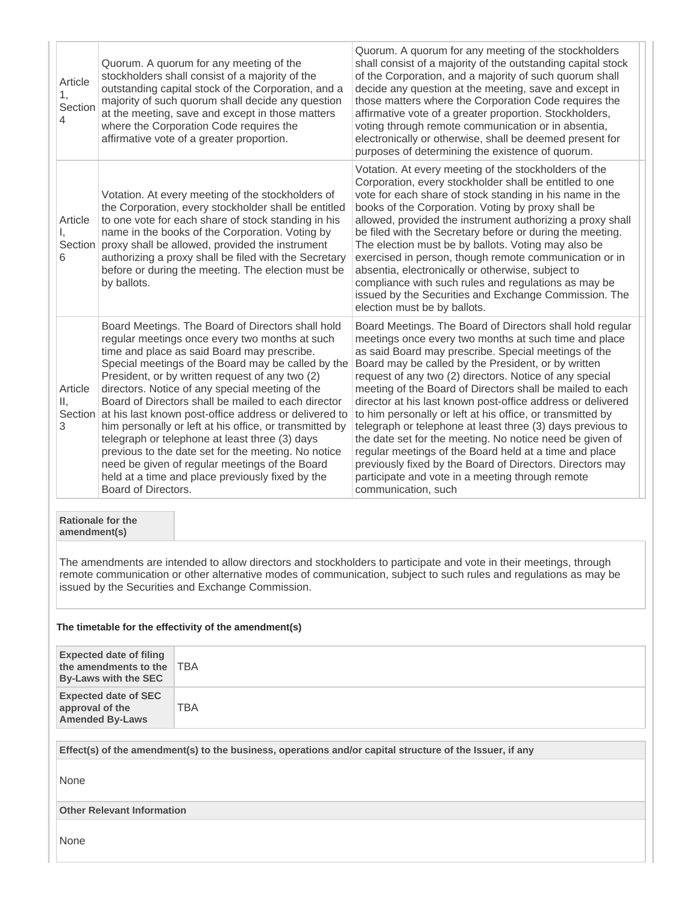| Article<br>1,<br>Section<br>4                                                                                                                                                                                                                                                                |                                                                                                                                                                                                                                                                                                                                                                                                                                                                                                                                                                                                                                                                                                                                         | Quorum. A quorum for any meeting of the<br>stockholders shall consist of a majority of the<br>outstanding capital stock of the Corporation, and a<br>majority of such quorum shall decide any question<br>at the meeting, save and except in those matters<br>where the Corporation Code requires the<br>affirmative vote of a greater proportion. | Quorum. A quorum for any meeting of the stockholders<br>shall consist of a majority of the outstanding capital stock<br>of the Corporation, and a majority of such quorum shall<br>decide any question at the meeting, save and except in<br>those matters where the Corporation Code requires the<br>affirmative vote of a greater proportion. Stockholders,<br>voting through remote communication or in absentia,<br>electronically or otherwise, shall be deemed present for<br>purposes of determining the existence of quorum.                                                                                                                                                                                                                                                                               |  |  |
|----------------------------------------------------------------------------------------------------------------------------------------------------------------------------------------------------------------------------------------------------------------------------------------------|-----------------------------------------------------------------------------------------------------------------------------------------------------------------------------------------------------------------------------------------------------------------------------------------------------------------------------------------------------------------------------------------------------------------------------------------------------------------------------------------------------------------------------------------------------------------------------------------------------------------------------------------------------------------------------------------------------------------------------------------|----------------------------------------------------------------------------------------------------------------------------------------------------------------------------------------------------------------------------------------------------------------------------------------------------------------------------------------------------|--------------------------------------------------------------------------------------------------------------------------------------------------------------------------------------------------------------------------------------------------------------------------------------------------------------------------------------------------------------------------------------------------------------------------------------------------------------------------------------------------------------------------------------------------------------------------------------------------------------------------------------------------------------------------------------------------------------------------------------------------------------------------------------------------------------------|--|--|
| Article<br>Ι,<br>6                                                                                                                                                                                                                                                                           | Votation. At every meeting of the stockholders of<br>the Corporation, every stockholder shall be entitled<br>to one vote for each share of stock standing in his<br>name in the books of the Corporation. Voting by<br>Section proxy shall be allowed, provided the instrument<br>authorizing a proxy shall be filed with the Secretary<br>before or during the meeting. The election must be<br>by ballots.                                                                                                                                                                                                                                                                                                                            |                                                                                                                                                                                                                                                                                                                                                    | Votation. At every meeting of the stockholders of the<br>Corporation, every stockholder shall be entitled to one<br>vote for each share of stock standing in his name in the<br>books of the Corporation. Voting by proxy shall be<br>allowed, provided the instrument authorizing a proxy shall<br>be filed with the Secretary before or during the meeting.<br>The election must be by ballots. Voting may also be<br>exercised in person, though remote communication or in<br>absentia, electronically or otherwise, subject to<br>compliance with such rules and regulations as may be<br>issued by the Securities and Exchange Commission. The<br>election must be by ballots.                                                                                                                               |  |  |
| Article<br>Ш,<br>3                                                                                                                                                                                                                                                                           | Board Meetings. The Board of Directors shall hold<br>regular meetings once every two months at such<br>time and place as said Board may prescribe.<br>Special meetings of the Board may be called by the<br>President, or by written request of any two (2)<br>directors. Notice of any special meeting of the<br>Board of Directors shall be mailed to each director<br>Section at his last known post-office address or delivered to<br>him personally or left at his office, or transmitted by<br>telegraph or telephone at least three (3) days<br>previous to the date set for the meeting. No notice<br>need be given of regular meetings of the Board<br>held at a time and place previously fixed by the<br>Board of Directors. |                                                                                                                                                                                                                                                                                                                                                    | Board Meetings. The Board of Directors shall hold regular<br>meetings once every two months at such time and place<br>as said Board may prescribe. Special meetings of the<br>Board may be called by the President, or by written<br>request of any two (2) directors. Notice of any special<br>meeting of the Board of Directors shall be mailed to each<br>director at his last known post-office address or delivered<br>to him personally or left at his office, or transmitted by<br>telegraph or telephone at least three (3) days previous to<br>the date set for the meeting. No notice need be given of<br>regular meetings of the Board held at a time and place<br>previously fixed by the Board of Directors. Directors may<br>participate and vote in a meeting through remote<br>communication, such |  |  |
| amendment(s)                                                                                                                                                                                                                                                                                 | <b>Rationale for the</b>                                                                                                                                                                                                                                                                                                                                                                                                                                                                                                                                                                                                                                                                                                                |                                                                                                                                                                                                                                                                                                                                                    |                                                                                                                                                                                                                                                                                                                                                                                                                                                                                                                                                                                                                                                                                                                                                                                                                    |  |  |
| The amendments are intended to allow directors and stockholders to participate and vote in their meetings, through<br>remote communication or other alternative modes of communication, subject to such rules and regulations as may be<br>issued by the Securities and Exchange Commission. |                                                                                                                                                                                                                                                                                                                                                                                                                                                                                                                                                                                                                                                                                                                                         |                                                                                                                                                                                                                                                                                                                                                    |                                                                                                                                                                                                                                                                                                                                                                                                                                                                                                                                                                                                                                                                                                                                                                                                                    |  |  |
| The timetable for the effectivity of the amendment(s)                                                                                                                                                                                                                                        |                                                                                                                                                                                                                                                                                                                                                                                                                                                                                                                                                                                                                                                                                                                                         |                                                                                                                                                                                                                                                                                                                                                    |                                                                                                                                                                                                                                                                                                                                                                                                                                                                                                                                                                                                                                                                                                                                                                                                                    |  |  |
| <b>Expected date of filing</b>                                                                                                                                                                                                                                                               |                                                                                                                                                                                                                                                                                                                                                                                                                                                                                                                                                                                                                                                                                                                                         |                                                                                                                                                                                                                                                                                                                                                    |                                                                                                                                                                                                                                                                                                                                                                                                                                                                                                                                                                                                                                                                                                                                                                                                                    |  |  |

**Expected date of filing the amendments to the** TBA **By-Laws with the SEC Expected date of SEC approval of the Amended By-Laws** TBA

**Effect(s) of the amendment(s) to the business, operations and/or capital structure of the Issuer, if any**

None

**Other Relevant Information**

None